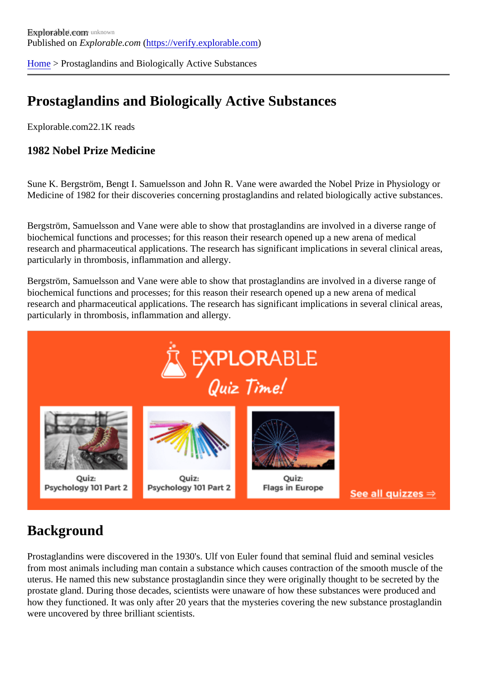[Home](https://verify.explorable.com/) > Prostaglandins and Biologically Active Substances

# Prostaglandins and Biologically Active Substances

Explorable.com22.1K reads

1982 Nobel Prize Medicine

Sune K. Bergström, Bengt I. Samuelsson and John R. Vane were awarded the Nobel Prize in Physiology Medicine of 1982 for their discoveries concerning prostaglandins and related biologically active substance

Bergström, Samuelsson and Vane were able to show that prostaglandins are involved in a diverse range of biochemical functions and processes; for this reason their research opened up a new arena of medical research and pharmaceutical applications. The research has significant implications in several clinical area particularly in thrombosis, inflammation and allergy.

Bergström, Samuelsson and Vane were able to show that prostaglandins are involved in a diverse range of biochemical functions and processes; for this reason their research opened up a new arena of medical research and pharmaceutical applications. The research has significant implications in several clinical area particularly in thrombosis, inflammation and allergy.

# **Background**

Prostaglandins were discovered in the 1930's. Ulf von Euler found that seminal fluid and seminal vesicles from most animals including man contain a substance which causes contraction of the smooth muscle of t uterus. He named this new substance prostaglandin since they were originally thought to be secreted by the prostate gland. During those decades, scientists were unaware of how these substances were produced a how they functioned. It was only after 20 years that the mysteries covering the new substance prostagland were uncovered by three brilliant scientists.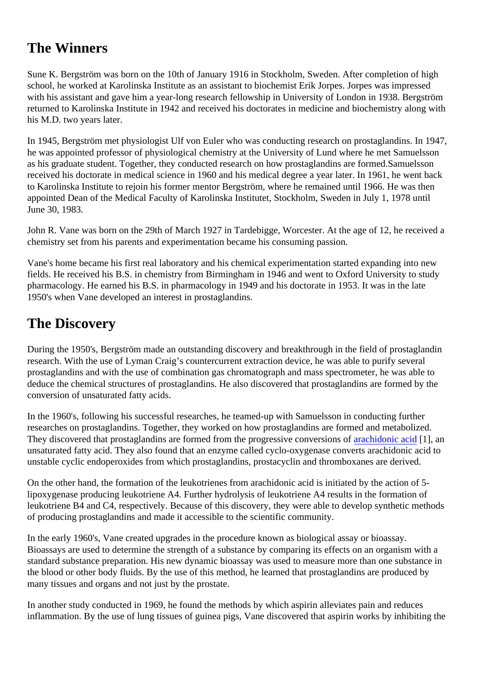# The Winners

Sune K. Bergström was born on the 10th of January 1916 in Stockholm, Sweden. After completion of high school, he worked at Karolinska Institute as an assistant to biochemist Erik Jorpes. Jorpes was impressed with his assistant and gave him a year-long research fellowship in University of London in 1938. Bergström returned to Karolinska Institute in 1942 and received his doctorates in medicine and biochemistry along with his M.D. two years later.

In 1945, Bergström met physiologist Ulf von Euler who was conducting research on prostaglandins. In 194 he was appointed professor of physiological chemistry at the University of Lund where he met Samuelsson as his graduate student. Together, they conducted research on how prostaglandins asen formeded on received his doctorate in medical science in 1960 and his medical degree a year later. In 1961, he went ba to Karolinska Institute to rejoin his former mentor Bergström, where he remained until 1966. He was then appointed Dean of the Medical Faculty of Karolinska Institutet, Stockholm, Sweden in July 1, 1978 until June 30, 1983.

John R. Vane was born on the 29th of March 1927 in Tardebigge, Worcester. At the age of 12, he receive chemistry set from his parents and experimentation became his consuming passion.

Vane's home became his first real laboratory and his chemical experimentation started expanding into new fields. He received his B.S. in chemistry from Birmingham in 1946 and went to Oxford University to study pharmacology. He earned his B.S. in pharmacology in 1949 and his doctorate in 1953. It was in the late 1950's when Vane developed an interest in prostaglandins.

# The Discovery

During the 1950's, Bergström made an outstanding discovery and breakthrough in the field of prostagland research. With the use of Lyman Craig's countercurrent extraction device, he was able to purify several prostaglandins and with the use of combination gas chromatograph and mass spectrometer, he was able to deduce the chemical structures of prostaglandins. He also discovered that prostaglandins are formed by the conversion of unsaturated fatty acids.

In the 1960's, following his successful researches, he teamed-up with Samuelsson in conducting further researches on prostaglandins. Together, they worked on how prostaglandins are formed and metabolized. They discovered that prostaglandins are formed from the progressive conversions of acidil, an unsaturated fatty acid. They also found that an enzyme called cyclo-oxygenase converts arachidonic acid unstable cyclic endoperoxides from which prostaglandins, prostacyclin and thromboxanes are derived.

On the other hand, the formation of the leukotrienes from arachidonic acid is initiated by the action of 5 lipoxygenase producing leukotriene A4. Further hydrolysis of leukotriene A4 results in the formation of leukotriene B4 and C4, respectively. Because of this discovery, they were able to develop synthetic method of producing prostaglandins and made it accessible to the scientific community.

In the early 1960's, Vane created upgrades in the procedure known as biological assay or bioassay. Bioassays are used to determine the strength of a substance by comparing its effects on an organism with standard substance preparation. His new dynamic bioassay was used to measure more than one substan the blood or other body fluids. By the use of this method, he learned that prostaglandins are produced by many tissues and organs and not just by the prostate.

In another study conducted in 1969, he found the methods by which aspirin alleviates pain and reduces inflammation. By the use of lung tissues of guinea pigs, Vane discovered that aspirin works by inhibiting the